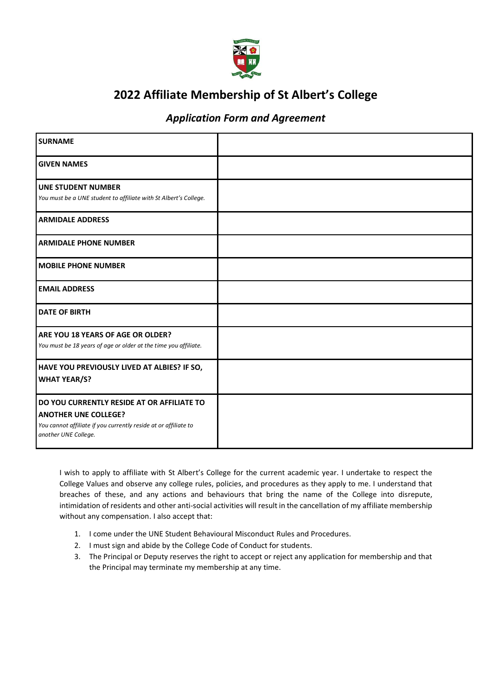

# **2022 Affiliate Membership of St Albert's College**

## *Application Form and Agreement*

| <b>SURNAME</b>                                                                                                                                                       |  |
|----------------------------------------------------------------------------------------------------------------------------------------------------------------------|--|
| <b>GIVEN NAMES</b>                                                                                                                                                   |  |
| <b>UNE STUDENT NUMBER</b><br>You must be a UNE student to affiliate with St Albert's College.                                                                        |  |
| <b>ARMIDALE ADDRESS</b>                                                                                                                                              |  |
| <b>ARMIDALE PHONE NUMBER</b>                                                                                                                                         |  |
| <b>MOBILE PHONE NUMBER</b>                                                                                                                                           |  |
| <b>EMAIL ADDRESS</b>                                                                                                                                                 |  |
| <b>DATE OF BIRTH</b>                                                                                                                                                 |  |
| ARE YOU 18 YEARS OF AGE OR OLDER?<br>You must be 18 years of age or older at the time you affiliate.                                                                 |  |
| HAVE YOU PREVIOUSLY LIVED AT ALBIES? IF SO,<br><b>WHAT YEAR/S?</b>                                                                                                   |  |
| DO YOU CURRENTLY RESIDE AT OR AFFILIATE TO<br><b>ANOTHER UNE COLLEGE?</b><br>You cannot affiliate if you currently reside at or affiliate to<br>another UNE College. |  |

I wish to apply to affiliate with St Albert's College for the current academic year. I undertake to respect the College Values and observe any college rules, policies, and procedures as they apply to me. I understand that breaches of these, and any actions and behaviours that bring the name of the College into disrepute, intimidation of residents and other anti-social activities will result in the cancellation of my affiliate membership without any compensation. I also accept that:

- 1. I come under the UNE Student Behavioural Misconduct Rules and Procedures.
- 2. I must sign and abide by the College Code of Conduct for students.
- 3. The Principal or Deputy reserves the right to accept or reject any application for membership and that the Principal may terminate my membership at any time.